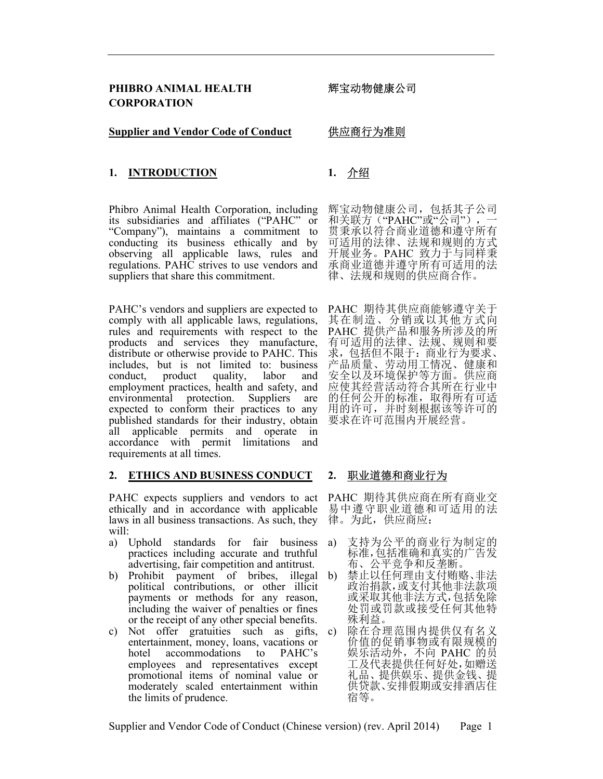#### **Supplier and Vendor Code of Conduct**

# 供应商行为准则

# 1. INTRODUCTION 1. 介绍

Phibro Animal Health Corporation, including its subsidiaries and affiliates ("PAHC" or "Company"), maintains a commitment to conducting its business ethically and by observing all applicable laws, rules and regulations. PAHC strives to use vendors and suppliers that share this commitment.

PAHC's vendors and suppliers are expected to comply with all applicable laws, regulations, rules and requirements with respect to the products and services they manufacture, distribute or otherwise provide to PAHC. This includes, but is not limited to: business conduct, product quality, labor and employment practices, health and safety, and environmental protection. Suppliers are expected to conform their practices to any published standards for their industry, obtain all applicable permits and operate in accordance with permit limitations and requirements at all times.

#### 2. ETHICS AND BUSINESS CONDUCT

PAHC expects suppliers and vendors to act ethically and in accordance with applicable laws in all business transactions. As such, they will:

- a) Uphold standards for fair business practices including accurate and truthful advertising, fair competition and antitrust.
- b) Prohibit payment of bribes, illegal political contributions, or other illicit payments or methods for any reason, including the waiver of penalties or fines or the receipt of any other special benefits.
- c) Not offer gratuities such as gifts, entertainment, money, loans, vacations or hotel accommodations to PAHC's employees and representatives except promotional items of nominal value or moderately scaled entertainment within the limits of prudence.

辉宝动物健康公司,包括其子公司 和关联方("PAHC"或"公司"), 贯秉承以符合商业道德和遵守所有 可适用的法律、法规和规则的方式 开展业务。PAHC 致力于与同样秉 承商业道德并遵守所有可适用的法 律、法规和规则的供应商合作。

PAHC 期待其供应商能够遵守关于 其在制造、分销或以其他方式向 PAHC 提供产品和服务所涉及的所 有可适用的法律、法规、规则和要 求,包括但不限于:商业行为要求、 产品质量、劳动用工情况、健康和 安全以及环境保护等方面。供应商 应使其经营活动符合其所在行业中 的任何公开的标准,取得所有可适 用的许可,并时刻根据该等许可的 要求在许可范围内开展经营。

# 2. 职业道德和商业行为

PAHC 期待其供应商在所有商业交 易中遵守职业道德和可适用的法 律。为此,供应商应:

- 支持为公平的商业行为制定的 标准,包括准确和真实的广告发 布、公平竞争和反垄断。
- 禁止以任何理由支付贿赂、非法 政治捐款,或支付其他非法款项 或采取其他非法方式,包括免除 处罚或罚款或接受任何其他特 殊利益。
- c) 除在合理范围内提供仅有名义 价值的促销事物或有限规模的 娱乐活动外,不向 PAHC 的员 工及代表提供任何好处,如赠送 礼品、提供娱乐、提供金钱、提 供贷款、安排假期或安排酒店住 宿等。

Supplier and Vendor Code of Conduct (Chinese version) (rev. April 2014) Page 1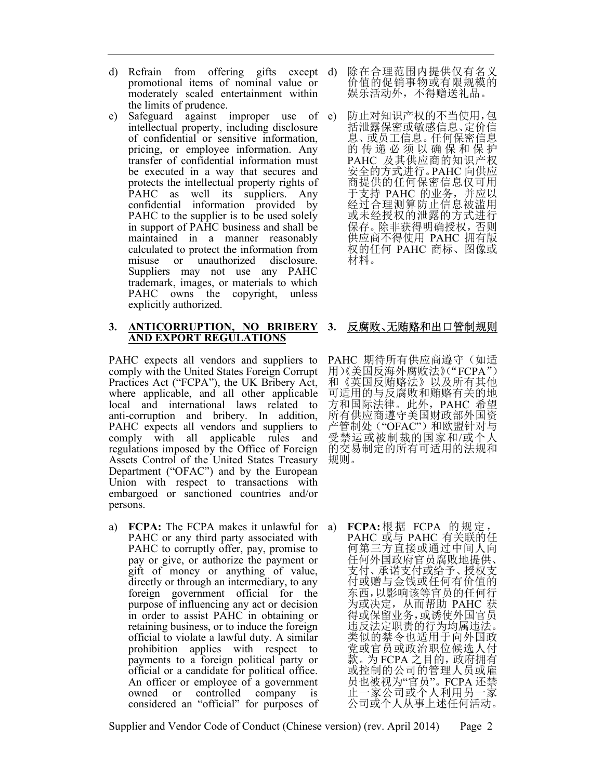- d) Refrain from offering gifts except d) promotional items of nominal value or moderately scaled entertainment within the limits of prudence.
- e) Safeguard against improper use of intellectual property, including disclosure of confidential or sensitive information, pricing, or employee information. Any transfer of confidential information must be executed in a way that secures and protects the intellectual property rights of PAHC as well its suppliers. Any confidential information provided by PAHC to the supplier is to be used solely in support of PAHC business and shall be maintained in a manner reasonably calculated to protect the information from misuse or unauthorized disclosure. Suppliers may not use any PAHC trademark, images, or materials to which PAHC owns the copyright, unless explicitly authorized.

#### 3. ANTICORRUPTION, NO BRIBERY AND EXPORT REGULATIONS

PAHC expects all vendors and suppliers to comply with the United States Foreign Corrupt Practices Act ("FCPA"), the UK Bribery Act, where applicable, and all other applicable local and international laws related to anti-corruption and bribery. In addition, PAHC expects all vendors and suppliers to comply with all applicable rules and regulations imposed by the Office of Foreign Assets Control of the United States Treasury Department ("OFAC") and by the European Union with respect to transactions with embargoed or sanctioned countries and/or persons.

a) FCPA: The FCPA makes it unlawful for PAHC or any third party associated with PAHC to corruptly offer, pay, promise to pay or give, or authorize the payment or gift of money or anything of value, directly or through an intermediary, to any foreign government official for the purpose of influencing any act or decision in order to assist PAHC in obtaining or retaining business, or to induce the foreign official to violate a lawful duty. A similar prohibition applies with respect to payments to a foreign political party or official or a candidate for political office. An officer or employee of a government owned or controlled company is considered an "official" for purposes of

- 除在合理范围内提供仅有名义 价值的促销事物或有限规模的 娱乐活动外,不得赠送礼品。
- 防止对知识产权的不当使用,包 括泄露保密或敏感信息、定价信 息、或员工信息。任何保密信息 的 传 递 必 须 以 确 保 和 保 护 PAHC 及其供应商的知识产权 安全的方式进行。PAHC 向供应 商提供的任何保密信息仅可用 于支持 PAHC 的业务,并应以 经过合理测算防止信息被滥用 或未经授权的泄露的方式进行 保存。除非获得明确授权,否则 供应商不得使用 PAHC 拥有版 权的任何 PAHC 商标、图像或 材料。

# 3. 反腐败、无贿赂和出口管制规则

PAHC 期待所有供应商遵守(如适 用)《美国反海外腐败法》("FCPA") 和《英国反贿赂法》以及所有其他 可适用的与反腐败和贿赂有关的地 方和国际法律。此外,PAHC 希望 所有供应商遵守美国财政部外国资 产管制处("OFAC")和欧盟针对与 受禁运或被制裁的国家和/或个人 的交易制定的所有可适用的法规和 规则。

FCPA: 根据 FCPA 的规定。 PAHC 或与 PAHC 有关联的任 何第三方直接或通过中间人向 任何外国政府官员腐败地提供、 支付、承诺支付或给予、授权支 付或赠与金钱或任何有价值的 东西,以影响该等官员的任何行 为或决定,从而帮助 PAHC 获 得或保留业务,或诱使外国官员 违反法定职责的行为均属违法。 类似的禁令也适用于向外国政 党或官员或政治职位候选人付 款。为 FCPA 之目的,政府拥有 或控制的公司的管理人员或雇 员也被视为"官员"。FCPA 还禁 止一家公司或个人利用另一家 公司或个人从事上述任何活动。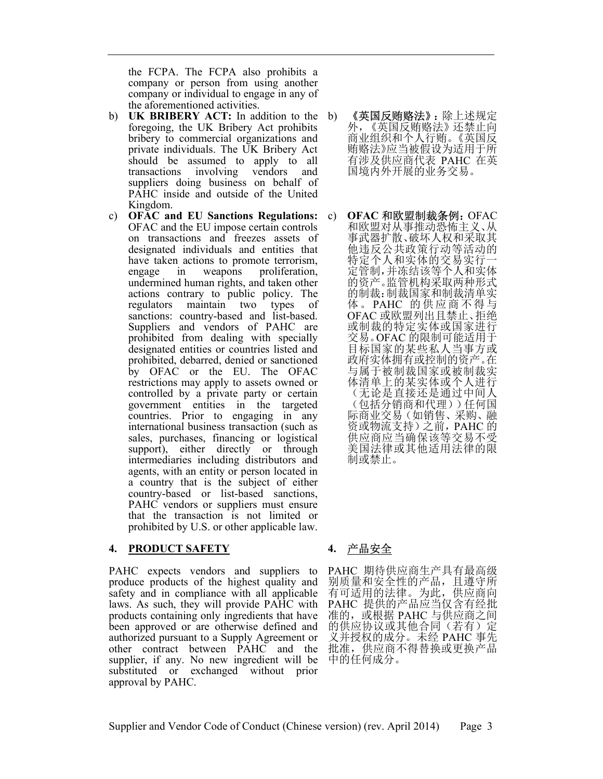the FCPA. The FCPA also prohibits a company or person from using another company or individual to engage in any of the aforementioned activities.

- b) UK BRIBERY ACT: In addition to the b) foregoing, the UK Bribery Act prohibits bribery to commercial organizations and private individuals. The UK Bribery Act should be assumed to apply to all transactions involving vendors and suppliers doing business on behalf of PAHC inside and outside of the United Kingdom.
- c) OFAC and EU Sanctions Regulations: OFAC and the EU impose certain controls on transactions and freezes assets of designated individuals and entities that have taken actions to promote terrorism, engage in weapons proliferation, undermined human rights, and taken other actions contrary to public policy. The regulators maintain two types of sanctions: country-based and list-based. Suppliers and vendors of PAHC are prohibited from dealing with specially designated entities or countries listed and prohibited, debarred, denied or sanctioned by OFAC or the EU. The OFAC restrictions may apply to assets owned or controlled by a private party or certain government entities in the targeted countries. Prior to engaging in any international business transaction (such as sales, purchases, financing or logistical support), either directly or through intermediaries including distributors and agents, with an entity or person located in a country that is the subject of either country-based or list-based sanctions, PAHC vendors or suppliers must ensure that the transaction is not limited or prohibited by U.S. or other applicable law.

## 4. PRODUCT SAFETY

PAHC expects vendors and suppliers to produce products of the highest quality and safety and in compliance with all applicable laws. As such, they will provide PAHC with products containing only ingredients that have been approved or are otherwise defined and authorized pursuant to a Supply Agreement or other contract between PAHC and the supplier, if any. No new ingredient will be substituted or exchanged without prior approval by PAHC.

- 《英国反贿赂法》:除上述规定 外,《英国反贿赂法》还禁止向 商业组织和个人行贿。《英国反 贿赂法》应当被假设为适用于所 有涉及供应商代表 PAHC 在英 国境内外开展的业务交易。
- c) OFAC 和欧盟制裁条例:OFAC 和欧盟对从事推动恐怖主义、从 事武器扩散、破坏人权和采取其 他违反公共政策行动等活动的 特定个人和实体的交易实行 定管制,并冻结该等个人和实体 的资产。监管机构采取两种形式 的制裁:制裁国家和制裁清单实 体。PAHC 的供应商不得与 OFAC 或欧盟列出且禁止、拒绝 或制裁的特定实体或国家进行 交易。OFAC 的限制可能适用于 目标国家的某些私人当事方或 政府实体拥有或控制的资产。在 与属于被制裁国家或被制裁实 体清单上的某实体或个人进行 (无论是直接还是通过中间人 (包括分销商和代理))任何国 际商业交易(如销售、采购、融 资或物流支持)之前,PAHC 的 供应商应当确保该等交易不受 美国法律或其他适用法律的限 制或禁止。

# 4. 产品安全

PAHC 期待供应商生产具有最高级 别质量和安全性的产品,且遵守所 有可适用的法律。为此,供应商向 PAHC 提供的产品应当仅含有经批 准的, 或根据 PAHC 与供应商之间 的供应协议或其他合同(若有)定 义并授权的成分。未经 PAHC 事先 批准,供应商不得替换或更换产品 中的任何成分。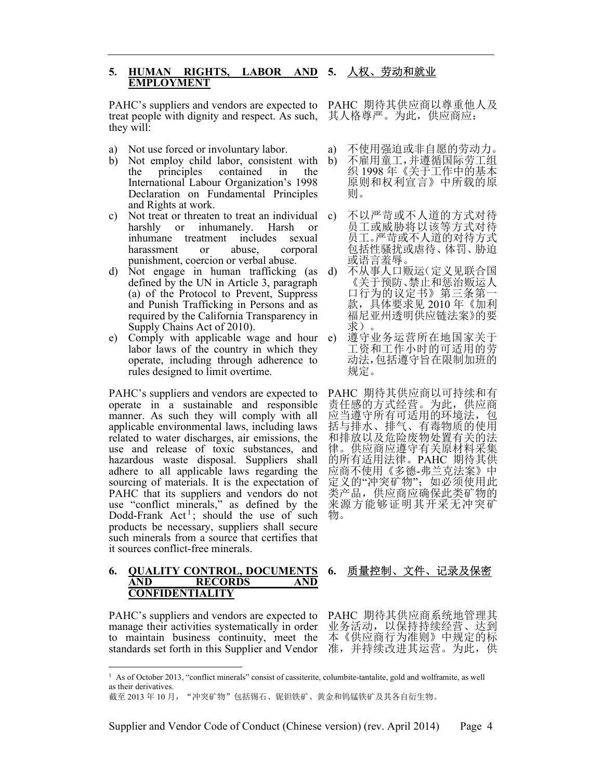#### 5. HUMAN RIGHTS, LABOR AND EMPLOYMENT 5. 人权、劳动和就业

PAHC's suppliers and vendors are expected to PAHC 期待其供应商以尊重他人及 treat people with dignity and respect. As such, they will:

- a) Not use forced or involuntary labor.
- b) Not employ child labor, consistent with the principles contained in the International Labour Organization's 1998 Declaration on Fundamental Principles and Rights at work.
- c) Not treat or threaten to treat an individual harshly or inhumanely. Harsh or inhumane treatment includes sexual harassment or abuse, corporal punishment, coercion or verbal abuse.
- d) Not engage in human trafficking (as defined by the UN in Article 3, paragraph (a) of the Protocol to Prevent, Suppress and Punish Trafficking in Persons and as required by the California Transparency in Supply Chains Act of 2010).
- e) Comply with applicable wage and hour labor laws of the country in which they operate, including through adherence to rules designed to limit overtime.

PAHC's suppliers and vendors are expected to operate in a sustainable and responsible manner. As such they will comply with all applicable environmental laws, including laws related to water discharges, air emissions, the use and release of toxic substances, and hazardous waste disposal. Suppliers shall adhere to all applicable laws regarding the sourcing of materials. It is the expectation of PAHC that its suppliers and vendors do not use "conflict minerals," as defined by the Dodd-Frank  $Act^1$ ; should the use of such products be necessary, suppliers shall secure such minerals from a source that certifies that it sources conflict-free minerals.

#### 6. QUALITY CONTROL, DOCUMENTS AND RECORDS AND CONFIDENTIALITY

PAHC's suppliers and vendors are expected to manage their activities systematically in order to maintain business continuity, meet the standards set forth in this Supplier and Vendor 准, 并持续改进其运营。为此, 供

其人格尊严。为此,供应商应:

- a) 不使用强迫或非自愿的劳动力。
- b) 不雇用童工,并遵循国际劳工组 织 1998 年《关于工作中的基本 原则和权利宣言》中所载的原 则。
- c) 不以严苛或不人道的方式对待 员工或威胁将以该等方式对待 员工。严苛或不人道的对待方式 包括性骚扰或虐待、体罚、胁迫 或语言羞辱。
	- 不从事人口贩运(定义见联合国 《关于预防、禁止和惩治贩运人 口行为的议定书》第三条第一 款,具体要求见 2010 年《加利 福尼亚州透明供应链法案》的要 求)。
	- 遵守业务运营所在地国家关于 工资和工作小时的可适用的劳 动法,包括遵守旨在限制加班的 规定。

PAHC 期待其供应商以可持续和有 责任感的方式经营。为此,供应商 应当遵守所有可适用的环境法,包 括与排水、排气、有毒物质的使用 和排放以及危险废物处置有关的法 律。供应商应遵守有关原材料采集 的所有适用法律。PAHC 期待其供 应商不使用《多德-弗兰克法案》中 定义的"冲突矿物"; 如必须使用此 类产品,供应商应确保此类矿物的 来源方能够证明其开采无冲突矿 物。

# 6. 质量控制、文件、记录及保密

PAHC 期待其供应商系统地管理其 业务活动,以保持持续经营、达到 本《供应商行为准则》中规定的标

<sup>&</sup>lt;sup>1</sup> As of October 2013, "conflict minerals" consist of cassiterite, columbite-tantalite, gold and wolframite, as well as their derivatives.

截至 2013年10月, "冲突矿物"包括锡石、铌钽铁矿、黄金和钨锰铁矿及其各自衍生物。